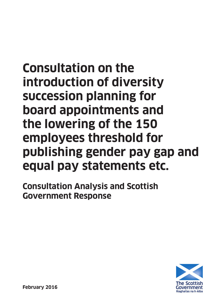# **Consultation on the introduction of diversity succession planning for board appointments and the lowering of the 150 employees threshold for publishing gender pay gap and equal pay statements etc.**

**Consultation Analysis and Scottish Government Response**

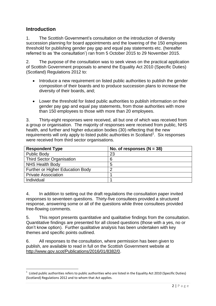# **Introduction**

**.** 

1. The Scottish Government"s consultation on the introduction of diversity succession planning for board appointments and the lowering of the 150 employees threshold for publishing gender pay gap and equal pay statements etc. (hereafter referred to as "the consultation") ran from 5 October 2015 to 29 November 2015.

2. The purpose of the consultation was to seek views on the practical application of Scottish Government proposals to amend the Equality Act 2010 (Specific Duties) (Scotland) Regulations 2012 to:

- Introduce a new requirement on listed public authorities to publish the gender composition of their boards and to produce succession plans to increase the diversity of their boards, and;
- Lower the threshold for listed public authorities to publish information on their gender pay gap and equal pay statements, from those authorities with more than 150 employees to those with more than 20 employees.

3. Thirty-eight responses were received, all but one of which was received from a group or organisation. The majority of responses were received from public, NHS health, and further and higher education bodies (30) reflecting that the new requirements will only apply to listed public authorities in Scotland<sup>1</sup>. Six responses were received from third sector organisations.

| <b>Respondent Type</b>           | No. of responses $(N = 38)$ |
|----------------------------------|-----------------------------|
| <b>Public Body</b>               | 23                          |
| <b>Third Sector Organisation</b> | 6                           |
| <b>NHS Health Body</b>           | 5                           |
| Further or Higher Education Body | 2                           |
| <b>Private Association</b>       |                             |
| Individual                       |                             |

4. In addition to setting out the draft regulations the consultation paper invited responses to seventeen questions. Thirty-five consultees provided a structured response, answering some or all of the questions while three consultees provided free-flowing comments.

5. This report presents quantitative and qualitative findings from the consultation. Quantitative findings are presented for all closed questions (those with a yes, no or don"t know option). Further qualitative analysis has been undertaken with key themes and specific points outlined.

6. All responses to the consultation, where permission has been given to publish, are available to read in full on the Scottish Government website at [http://www.gov.scot/Publications/2016/01/8382/0.](http://www.gov.scot/Publications/2016/01/8382/0)

<sup>1</sup> Listed public authorities refers to public authorities who are listed in the Equality Act 2010 (Specific Duties) (Scotland) Regulations 2012 and to whom that Act applies.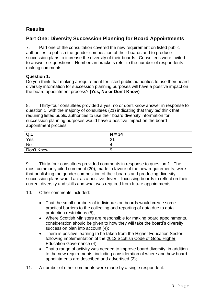# **Results**

# **Part One: Diversity Succession Planning for Board Appointments**

7. Part one of the consultation covered the new requirement on listed public authorities to publish the gender composition of their boards and to produce succession plans to increase the diversity of their boards. Consultees were invited to answer six questions. Numbers in brackets refer to the number of respondents making comments.

#### **Question 1:**

Do you think that making a requirement for listed public authorities to use their board diversity information for succession planning purposes will have a positive impact on the board appointment process? **(Yes, No or Don't Know)**

8. Thirty-four consultees provided a yes, no or don"t know answer in response to question 1, with the majority of consultees (21) indicating that they *did* think that requiring listed public authorities to use their board diversity information for succession planning purposes would have a positive impact on the board appointment process.

| $Q_{\cdot}$ | $N = 34$ |
|-------------|----------|
| Yes         | $\sim$   |
| <b>No</b>   | ↵        |
| Don't Know  | У        |

9. Thirty-four consultees provided comments in response to question 1. The most commonly cited comment (20), made in favour of the new requirements, were that publishing the gender composition of their boards and producing diversity succession plans would act as a positive driver – focussing boards to reflect on their current diversity and skills and what was required from future appointments.

10. Other comments included:

- That the small numbers of individuals on boards would create some practical barriers to the collecting and reporting of data due to data protection restrictions (5);
- Where Scottish Ministers are responsible for making board appointments, consideration should be given to how they will take the board"s diversity succession plan into account (4);
- There is positive learning to be taken from the Higher Education Sector following implementation of the [2013 Scottish Code of Good Higher](http://www.scottishuniversitygovernance.ac.uk/)  [Education Governance](http://www.scottishuniversitygovernance.ac.uk/) (4);
- That a range of activity was needed to improve board diversity, in addition to the new requirements, including consideration of where and how board appointments are described and advertised (2);
- 11. A number of other comments were made by a single respondent: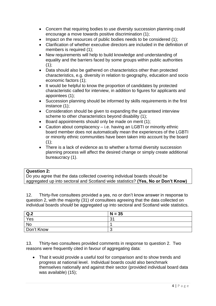- Concern that requiring bodies to use diversity succession planning could encourage a move towards positive discrimination (1);
- Impact on the resources of public bodies needs to be considered (1);
- Clarification of whether executive directors are included in the definition of members is required (1);
- New requirements will help to build knowledge and understanding of equality and the barriers faced by some groups within public authorities  $(1)$ ;
- Data should also be gathered on characteristics other than protected characteristics, e.g. diversity in relation to geography, education and socio economic factors (1);
- It would be helpful to know the proportion of candidates by protected characteristic called for interview, in addition to figures for applicants and appointees (1);
- Succession planning should be informed by skills requirements in the first instance (1);
- Consideration should be given to expanding the guaranteed interview scheme to other characteristics beyond disability (1);
- Board appointments should only be made on merit (1);
- Caution about complacency i.e. having an LGBTI or minority ethnic board member does not automatically mean the experiences of the LGBTI or minority ethnic communities have been taken into account by the board  $(1);$
- There is a lack of evidence as to whether a formal diversity succession planning process will affect the desired change or simply create additional bureaucracy (1).

#### **Question 2:**

Do you agree that the data collected covering individual boards should be aggregated up into sectoral and Scotland wide statistics? **(Yes, No or Don't Know)**

12. Thirty-five consultees provided a yes, no or don"t know answer in response to question 2, with the majority (31) of consultees agreeing that the data collected on individual boards *should* be aggregated up into sectoral and Scotland wide statistics.

| Q.2        | $N = 35$  |
|------------|-----------|
| Yes        | -21<br>ు. |
| No         |           |
| Don't Know | w         |

13. Thirty-two consultees provided comments in response to question 2. Two reasons were frequently cited in favour of aggregating data:

• That it would provide a useful tool for comparison and to show trends and progress at national level. Individual boards could also benchmark themselves nationally and against their sector (provided individual board data was available) (15);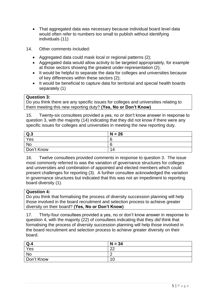- That aggregated data was necessary because individual board level data would often refer to numbers too small to publish without identifying individuals (11)
- 14. Other comments included:
	- Aggregated data could mask local or regional patterns (2);
	- Aggregated data would allow activity to be targeted appropriately, for example at those sectors showing the greatest under-representation (2);
	- It would be helpful to separate the data for colleges and universities because of key differences within these sectors (2);
	- It would be beneficial to capture data for territorial and special health boards separately (1)

#### **Question 3:**

Do you think there are any specific issues for colleges and universities relating to them meeting this new reporting duty? **(Yes, No or Don't Know)**

15. Twenty-six consultees provided a yes, no or don"t know answer in response to question 3, with the majority (14) indicating that they did not know if there were any specific issues for colleges and universities in meeting the new reporting duty.

| Q.3        | $N = 26$ |
|------------|----------|
| Yes        | 6        |
| <b>No</b>  | ∽<br>O   |
| Don't Know | 14       |

16. Twelve consultees provided comments in response to question 3. The issue most commonly referred to was the variation of governance structures for colleges and universities and combination of appointed and elected members which could present challenges for reporting (3). A further consultee acknowledged the variation in governance structures but indicated that this was not an impediment to reporting board diversity (1).

#### **Question 4:**

Do you think that formalising the process of diversity succession planning will help those involved in the board recruitment and selection process to achieve greater diversity on their board? **(Yes, No or Don't Know)**

17. Thirty-four consultees provided a yes, no or don"t know answer in response to question 4, with the majority (22) of consultees indicating that they *did* think that formalising the process of diversity succession planning will help those involved in the board recruitment and selection process to achieve greater diversity on their board.

| Q.4        | $N = 34$ |
|------------|----------|
| Yes        | ററ<br>ᅩ  |
| No         | -        |
| Don't Know | 10       |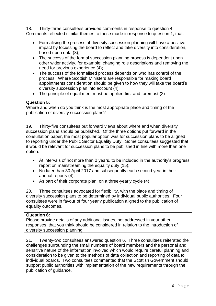18. Thirty-three consultees provided comments in response to question 4. Comments reflected similar themes to those made in response to question 1, that:

- Formalising the process of diversity succession planning will have a positive impact by focussing the board to reflect and take diversity into consideration, based upon data (8);
- The success of the formal succession planning process is dependent upon other wider activity, for example: changing role descriptions and removing the need for previous experience (4);
- The success of the formalised process depends on who has control of the process. Where Scottish Ministers are responsible for making board appointments consideration should be given to how they will take the board"s diversity succession plan into account (4);
- The principle of equal merit must be applied first and foremost (2)

#### **Question 5:**

Where and when do you think is the most appropriate place and timing of the publication of diversity succession plans?

19. Thirty-five consultees put forward views about where and when diversity succession plans should be published. Of the three options put forward in the consultation paper, the most popular option was for succession plans to be aligned to reporting under the Public Sector Equality Duty. Some consultees suggested that it would be relevant for succession plans to be published in line with more than one option.

- At intervals of not more than 2 years, to be included in the authority"s progress report on mainstreaming the equality duty (15);
- No later than 30 April 2017 and subsequently each second year in their annual reports (4);
- As part of their corporate plan, on a three-yearly cycle (4)

20. Three consultees advocated for flexibility, with the place and timing of diversity succession plans to be determined by individual public authorities. Four consultees were in favour of four yearly publication aligned to the publication of equality outcomes.

#### **Question 6:**

Please provide details of any additional issues, not addressed in your other responses, that you think should be considered in relation to the introduction of diversity succession planning.

21. Twenty-two consultees answered question 6. Three consultees reiterated the challenges surrounding the small numbers of board members and the personal and sensitive nature of the information involved which would require careful planning and consideration to be given to the methods of data collection and reporting of data to individual boards. Two consultees commented that the Scottish Government should support public authorities with implementation of the new requirements through the publication of guidance.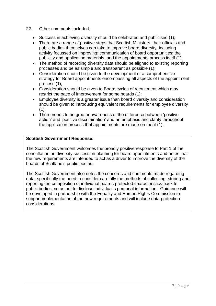- 22. Other comments included:
	- Success in achieving diversity should be celebrated and publicised (1);
	- There are a range of positive steps that Scottish Ministers, their officials and public bodies themselves can take to improve board diversity, including activity focussed on improving: communication of board opportunities; the publicity and application materials, and the appointments process itself (1);
	- The method of recording diversity data should be aligned to existing reporting processes and be as simple and transparent as possible (1);
	- Consideration should be given to the development of a comprehensive strategy for Board appointments encompassing all aspects of the appointment process (1);
	- Consideration should be given to Board cycles of recruitment which may restrict the pace of improvement for some boards (1);
	- Employee diversity is a greater issue than board diversity and consideration should be given to introducing equivalent requirements for employee diversity  $(1)$ ;
	- There needs to be greater awareness of the difference between 'positive action" and "positive discrimination" and an emphasis and clarity throughout the application process that appointments are made on merit (1).

#### **Scottish Government Response:**

The Scottish Government welcomes the broadly positive response to Part 1 of the consultation on diversity succession planning for board appointments and notes that the new requirements are intended to act as a driver to improve the diversity of the boards of Scotland"s public bodies.

The Scottish Government also notes the concerns and comments made regarding data, specifically the need to consider carefully the methods of collecting, storing and reporting the composition of individual boards protected characteristics back to public bodies, so as not to disclose individual"s personal information. Guidance will be developed in partnership with the Equality and Human Rights Commission to support implementation of the new requirements and will include data protection considerations.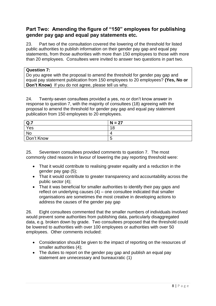# **Part Two: Amending the figure of "150" employees for publishing gender pay gap and equal pay statements etc.**

23. Part two of the consultation covered the lowering of the threshold for listed public authorities to publish information on their gender pay gap and equal pay statements, from those authorities with more than 150 employees to those with more than 20 employees. Consultees were invited to answer two questions in part two.

#### **Question 7:**

Do you agree with the proposal to amend the threshold for gender pay gap and equal pay statement publication from 150 employees to 20 employees? **(Yes, No or Don't Know)** If you do not agree, please tell us why.

24. Twenty-seven consultees provided a yes, no or don"t know answer in response to question 7, with the majority of consultees (18) agreeing with the proposal to amend the threshold for gender pay gap and equal pay statement publication from 150 employees to 20 employees.

| Q <sub>.7</sub> | $N = 27$ |
|-----------------|----------|
| Yes             | 18       |
| <b>No</b>       | 4        |
| Don't Know      | b        |

25. Seventeen consultees provided comments to question 7. The most commonly cited reasons in favour of lowering the pay reporting threshold were:

- That it would contribute to realising greater equality and a reduction in the gender pay gap (5);
- That it would contribute to greater transparency and accountability across the public sector (4);
- That it was beneficial for smaller authorities to identify their pay gaps and reflect on underlying causes (4) – one consultee indicated that smaller organisations are sometimes the most creative in developing actions to address the causes of the gender pay gap

26. Eight consultees commented that the smaller numbers of individuals involved would prevent some authorities from publishing data, particularly disaggregated data, e.g. broken down by grade. Two consultees proposed that the threshold could be lowered to authorities with over 100 employees or authorities with over 50 employees. Other comments included:

- Consideration should be given to the impact of reporting on the resources of smaller authorities (4);
- The duties to report on the gender pay gap and publish an equal pay statement are unnecessary and bureaucratic (1)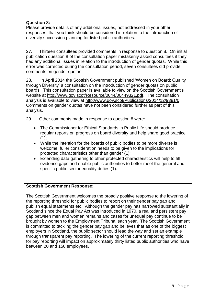#### **Question 8:**

Please provide details of any additional issues, not addressed in your other responses, that you think should be considered in relation to the introduction of diversity succession planning for listed public authorities.

27. Thirteen consultees provided comments in response to question 8. On initial publication question 8 of the consultation paper mistakenly asked consultees if they had any additional issues in relation to the introduction of gender quotas. While this error was corrected during the consultation period, seven consultees did provide comments on gender quotas.

28. In April 2014 the Scottish Government published "Women on Board: Quality through Diversity" a consultation on the introduction of gender quotas on public boards. This consultation paper is available to view on the Scottish Government"s website at [http://www.gov.scot/Resource/0044/00449321.pdf.](http://www.gov.scot/Resource/0044/00449321.pdf) The consultation analysis is available to view at [http://www.gov.scot/Publications/2014/12/9381/0.](http://www.gov.scot/Publications/2014/12/9381/0) Comments on gender quotas have not been considered further as part of this analysis.

29. Other comments made in response to question 8 were:

- The Commissioner for Ethical Standards in Public Life should produce regular reports on progress on board diversity and help share good practice  $(1)$ ;
- While the intention for the boards of public bodies to be more diverse is welcome, fuller consideration needs to be given to the implications for protected characteristics other than gender (1);
- Extending data gathering to other protected characteristics will help to fill evidence gaps and enable public authorities to better meet the general and specific public sector equality duties (1).

#### **Scottish Government Response:**

The Scottish Government welcomes the broadly positive response to the lowering of the reporting threshold for public bodies to report on their gender pay gap and publish equal statements etc. Although the gender pay has narrowed substantially in Scotland since the Equal Pay Act was introduced in 1970, a real and persistent pay gap between men and women remains and cases for unequal pay continue to be brought by women to the Employment Tribunal each year. The Scottish Government is committed to tackling the gender pay gap and believes that as one of the biggest employers in Scotland, the public sector should lead the way and set an example through transparent pay reporting. The lowering of the current reporting threshold for pay reporting will impact on approximately thirty listed public authorities who have between 20 and 150 employees.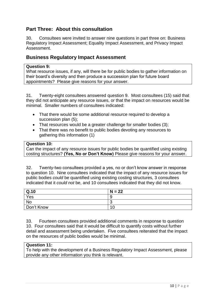# **Part Three: About this consultation**

30. Consultees were invited to answer nine questions in part three on: Business Regulatory Impact Assessment; Equality Impact Assessment, and Privacy Impact Assessment.

## **Business Regulatory Impact Assessment**

#### **Question 9:**

What resource issues, if any, will there be for public bodies to gather information on their board"s diversity and then produce a succession plan for future board appointments? Please give reasons for your answer.

31. Twenty-eight consultees answered question 9. Most consultees (15) said that they did not anticipate any resource issues, or that the impact on resources would be minimal. Smaller numbers of consultees indicated:

- That there would be some additional resource required to develop a succession plan (5);
- That resources would be a greater challenge for smaller bodies (3);
- That there was no benefit to public bodies devoting any resources to gathering this information (1)

#### **Question 10:**

Can the impact of any resource issues for public bodies be quantified using existing costing structures? **(Yes, No or Don't Know)** Please give reasons for your answer.

32. Twenty-two consultees provided a yes, no or don"t know answer in response to question 10. Nine consultees indicated that the impact of any resource issues for public bodies *could* be quantified using existing costing structures, 3 consultees indicated that it *could not* be, and 10 consultees indicated that they did not know.

| Q.10       | $N = 22$ |
|------------|----------|
| Yes        | У        |
| <b>No</b>  | w        |
| Don't Know | 10       |

33. Fourteen consultees provided additional comments in response to question 10. Four consultees said that it would be difficult to quantify costs without further detail and assessment being undertaken. Five consultees reiterated that the impact on the resources of public bodies would be minimal.

#### **Question 11:**

To help with the development of a Business Regulatory Impact Assessment, please provide any other information you think is relevant.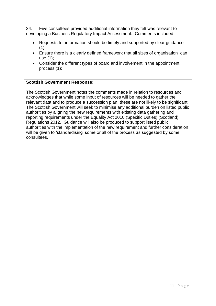34. Five consultees provided additional information they felt was relevant to developing a Business Regulatory Impact Assessment. Comments included:

- Requests for information should be timely and supported by clear quidance  $(1)$ :
- Ensure there is a clearly defined framework that all sizes of organisation can use (1);
- Consider the different types of board and involvement in the appointment process (1);

#### **Scottish Government Response:**

The Scottish Government notes the comments made in relation to resources and acknowledges that while some input of resources will be needed to gather the relevant data and to produce a succession plan, these are not likely to be significant. The Scottish Government will seek to minimise any additional burden on listed public authorities by aligning the new requirements with existing data gathering and reporting requirements under the Equality Act 2010 (Specific Duties) (Scotland) Regulations 2012. Guidance will also be produced to support listed public authorities with the implementation of the new requirement and further consideration will be given to 'standardising' some or all of the process as suggested by some consultees.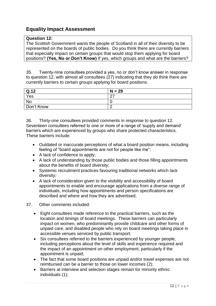# **Equality Impact Assessment**

#### **Question 12:**

The Scottish Government wants the people of Scotland in all of their diversity to be represented on the boards of public bodies. Do you think there are currently barriers that especially impact on certain groups that would stop them applying for board positions? **(Yes, No or Don't Know)** If yes, which groups and what are the barriers?

35. Twenty-nine consultees provided a yes, no or don"t know answer in response to question 12, with almost all consultees (27) indicating that they *do* think there are currently barriers to certain groups applying for board positions.

| Q.12       | $N = 29$           |
|------------|--------------------|
| Yes        | $\sim$<br><u>_</u> |
| <b>No</b>  | ⊾                  |
| Don't Know |                    |

36. Thirty-one consultees provided comments in response to question 12. Seventeen consultees referred to one or more of a range of "supply and demand" barriers which are experienced by groups who share protected characteristics. These barriers include:

- Outdated or inaccurate perceptions of what a board position means, including feeling of "board appointments are not for people like me";
- A lack of confidence to apply;
- A lack of understanding by those public bodies and those filling appointments about the benefits of board diversity;
- Systemic recruitment practices favouring traditional networks which lack diversity;
- A lack of consideration given to the visibility and accessibility of board appointments to enable and encourage applications from a diverse range of individuals, including how appointments and person specifications are described and where and how they are advertised.
- 37. Other comments included:
	- Eight consultees made reference to the practical barriers, such as the location and timings of board meetings. These barriers can particularly impact on women, who predominantly provide childcare and other forms of unpaid care, and disabled people who rely on board meetings taking place in accessible venues serviced by public transport;
	- Six consultees referred to the barriers experienced by younger people, including perceptions about the level of skills and experience required and the impact of an appointment on other employment, particularly if the appointment is unpaid;
	- The fact that some board positions are unpaid and/or travel expenses are not reimbursed can be a barrier to those on lower incomes (2);
	- Barriers at interview and selection stages remain for minority ethnic individuals (1);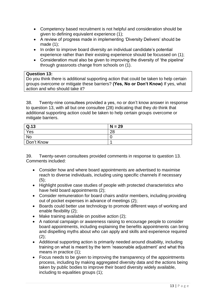- Competency based recruitment is not helpful and consideration should be given to defining equivalent experience (1);
- A review of progress made in implementing "Diversity Delivers" should be made (1);
- In order to improve board diversity an individual candidate's potential experience rather than their existing experience should be focussed on (1);
- Consideration must also be given to improving the diversity of 'the pipeline' through grassroots change from schools on (1).

#### **Question 13:**

Do you think there is additional supporting action that could be taken to help certain groups overcome or mitigate these barriers? **(Yes, No or Don't Know)** If yes, what action and who should take it?

38. Twenty-nine consultees provided a yes, no or don"t know answer in response to question 13, with all but one consultee (28) indicating that they *do* think that additional supporting action could be taken to help certain groups overcome or mitigate barriers.

| Q.13       | $N = 29$ |
|------------|----------|
| Yes        | 28       |
| No         |          |
| Don't Know |          |

39. Twenty-seven consultees provided comments in response to question 13. Comments included:

- Consider how and where board appointments are advertised to maximise reach to diverse individuals, including using specific channels if necessary  $(5)$ ;
- Highlight positive case studies of people with protected characteristics who have held board appointments (2);
- Consider remuneration for board chairs and/or members, including providing out of pocket expenses in advance of meetings (2);
- Boards could better use technology to promote different ways of working and enable flexibility (2);
- $\bullet$  Make training available on positive action (2);
- A national campaign or awareness raising to encourage people to consider board appointments, including explaining the benefits appointments can bring and dispelling myths about who can apply and skills and experience required  $(2)$ ;
- Additional supporting action is primarily needed around disability, including training on what is meant by the term "reasonable adjustment" and what this means in practice (1);
- Focus needs to be given to improving the transparency of the appointments process, including by making aggregated diversity data and the actions being taken by public bodies to improve their board diversity widely available, including to equalities groups (1);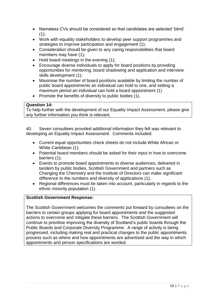- Nameless CVs should be considered so that candidates are selected "blind"  $(1)$ ;
- Work with equality stakeholders to develop peer support programmes and strategies to improve participation and engagement (1);
- Consideration should be given to any caring responsibilities that board members may have (1);
- $\bullet$  Hold board meetings in the evening (1);
- Encourage diverse individuals to apply for board positions by providing opportunities for mentoring, board shadowing and application and interview skills development (1);
- Maximise the number of board positions available by limiting the number of public board appointments an individual can hold to one, and setting a maximum period an individual can hold a board appointment (1)
- Promote the benefits of diversity to public bodies (1).

#### **Question 14:**

To help further with the development of our Equality Impact Assessment, please give any further information you think is relevant.

40. Seven consultees provided additional information they felt was relevant to developing an Equality Impact Assessment. Comments included:

- Current equal opportunities check sheets do not include White African or White Caribbean (1);
- Potential board members should be asked for their input in how to overcome barriers (1);
- Events to promote board appointments to diverse audiences, delivered in tandem by public bodies, Scottish Government and partners such as Changing the Chemistry and the Institute of Directors can make significant difference to the numbers and diversity of applications (1);
- Regional differences must be taken into account, particularly in regards to the ethnic minority population (1).

## **Scottish Government Response:**

The Scottish Government welcomes the comments put forward by consultees on the barriers to certain groups applying for board appointments and the suggested actions to overcome and mitigate these barriers. The Scottish Government will continue to prioritise improving the diversity of Scotland"s public boards through the Public Boards and Corporate Diversity Programme. A range of activity is being progressed, including making real and practical changes to the public appointments process such as where and how appointments are advertised and the way in which appointments and person specifications are worded.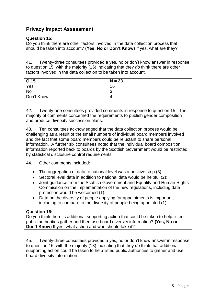# **Privacy Impact Assessment**

#### **Question 15:**

Do you think there are other factors involved in the data collection process that should be taken into account? **(Yes, No or Don't Know)** If yes, what are they?

41. Twenty-three consultees provided a yes, no or don"t know answer in response to question 15, with the majority (16) indicating that they *do* think there are other factors involved in the data collection to be taken into account.

| Q.15       | $N = 23$ |
|------------|----------|
| Yes        | 16       |
| No         | ╭<br>ٮ   |
| Don't Know | 4        |

42. Twenty-one consultees provided comments in response to question 15. The majority of comments concerned the requirements to publish gender composition and produce diversity succession plans.

43. Ten consultees acknowledged that the data collection process would be challenging as a result of the small numbers of individual board members involved and the fact that some board members could be reluctant to share personal information. A further six consultees noted that the individual board composition information reported back to boards by the Scottish Government would be restricted by statistical disclosure control requirements.

44. Other comments included:

- The aggregation of data to national level was a positive step (3);
- Sectoral level data in addition to national data would be helpful (2);
- Joint guidance from the Scottish Government and Equality and Human Rights Commission on the implementation of the new regulations, including data protection would be welcomed (1);
- Data on the diversity of people applying for appointments is important, including to compare to the diversity of people being appointed (1).

#### **Question 16:**

Do you think there is additional supporting action that could be taken to help listed public authorities gather and then use board diversity information? **(Yes, No or Don't Know)** If yes, what action and who should take it?

45. Twenty-three consultees provided a yes, no or don"t know answer in response to question 16, with the majority (18) indicating that they *do* think that additional supporting action could be taken to help listed public authorities to gather and use board diversity information.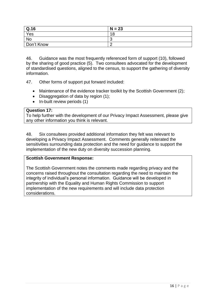| $\vert$ Q.16 | $N = 23$ |
|--------------|----------|
| Yes          | 18       |
| No           | $\cdot$  |
| Don't Know   |          |

46. Guidance was the most frequently referenced form of support (10), followed by the sharing of good practice (5). Two consultees advocated for the development of standardised questions, aligned to the census, to support the gathering of diversity information.

47. Other forms of support put forward included:

- Maintenance of the evidence tracker toolkit by the Scottish Government (2);
- Disaggregation of data by region (1);
- In-built review periods (1)

#### **Question 17:**

To help further with the development of our Privacy Impact Assessment, please give any other information you think is relevant.

48. Six consultees provided additional information they felt was relevant to developing a Privacy Impact Assessment. Comments generally reiterated the sensitivities surrounding data protection and the need for guidance to support the implementation of the new duty on diversity succession planning.

#### **Scottish Government Response:**

The Scottish Government notes the comments made regarding privacy and the concerns raised throughout the consultation regarding the need to maintain the integrity of individual"s personal information. Guidance will be developed in partnership with the Equality and Human Rights Commission to support implementation of the new requirements and will include data protection considerations.